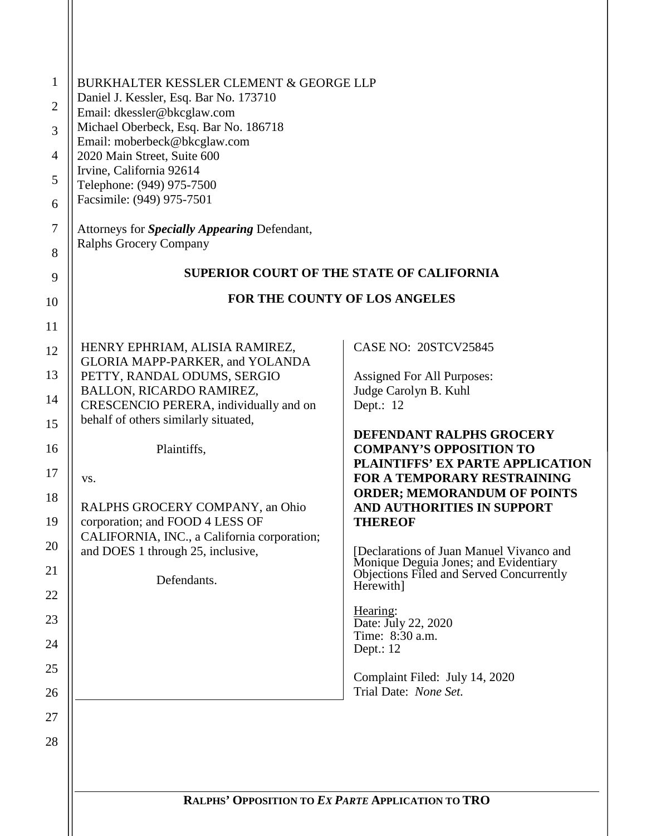| BURKHALTER KESSLER CLEMENT & GEORGE LLP<br>Daniel J. Kessler, Esq. Bar No. 173710 |                                                                                                |
|-----------------------------------------------------------------------------------|------------------------------------------------------------------------------------------------|
| Email: dkessler@bkcglaw.com                                                       |                                                                                                |
| Michael Oberbeck, Esq. Bar No. 186718<br>Email: moberbeck@bkcglaw.com             |                                                                                                |
| 2020 Main Street, Suite 600                                                       |                                                                                                |
| Irvine, California 92614<br>Telephone: (949) 975-7500                             |                                                                                                |
| Facsimile: (949) 975-7501                                                         |                                                                                                |
| Attorneys for <i>Specially Appearing</i> Defendant,                               |                                                                                                |
| Ralphs Grocery Company                                                            |                                                                                                |
|                                                                                   | <b>SUPERIOR COURT OF THE STATE OF CALIFORNIA</b>                                               |
|                                                                                   | <b>FOR THE COUNTY OF LOS ANGELES</b>                                                           |
|                                                                                   |                                                                                                |
| HENRY EPHRIAM, ALISIA RAMIREZ,<br>GLORIA MAPP-PARKER, and YOLANDA                 | CASE NO: 20STCV25845                                                                           |
| PETTY, RANDAL ODUMS, SERGIO                                                       | Assigned For All Purposes:                                                                     |
| BALLON, RICARDO RAMIREZ,<br>CRESCENCIO PERERA, individually and on                | Judge Carolyn B. Kuhl<br>Dept.: 12                                                             |
| behalf of others similarly situated,                                              |                                                                                                |
| Plaintiffs,                                                                       | DEFENDANT RALPHS GROCERY<br><b>COMPANY'S OPPOSITION TO</b>                                     |
|                                                                                   | PLAINTIFFS' EX PARTE APPLICATION                                                               |
| VS.                                                                               | FOR A TEMPORARY RESTRAINING<br><b>ORDER; MEMORANDUM OF POINTS</b>                              |
| RALPHS GROCERY COMPANY, an Ohio                                                   | AND AUTHORITIES IN SUPPORT                                                                     |
| corporation; and FOOD 4 LESS OF<br>CALIFORNIA, INC., a California corporation;    | <b>THEREOF</b>                                                                                 |
| and DOES 1 through 25, inclusive,                                                 | [Declarations of Juan Manuel Vivanco and                                                       |
| Defendants.                                                                       | Monique Deguia Jones; and Evidentiary<br>Objections Filed and Served Concurrently<br>Herewith] |
|                                                                                   | Hearing:                                                                                       |
|                                                                                   | Date: July 22, 2020<br>Time: 8:30 a.m.                                                         |
|                                                                                   | Dept.: 12                                                                                      |
|                                                                                   | Complaint Filed: July 14, 2020<br>Trial Date: None Set.                                        |
|                                                                                   |                                                                                                |
|                                                                                   |                                                                                                |
|                                                                                   |                                                                                                |
|                                                                                   |                                                                                                |
|                                                                                   | RALPHS' OPPOSITION TO EX PARTE APPLICATION TO TRO                                              |
|                                                                                   |                                                                                                |
|                                                                                   |                                                                                                |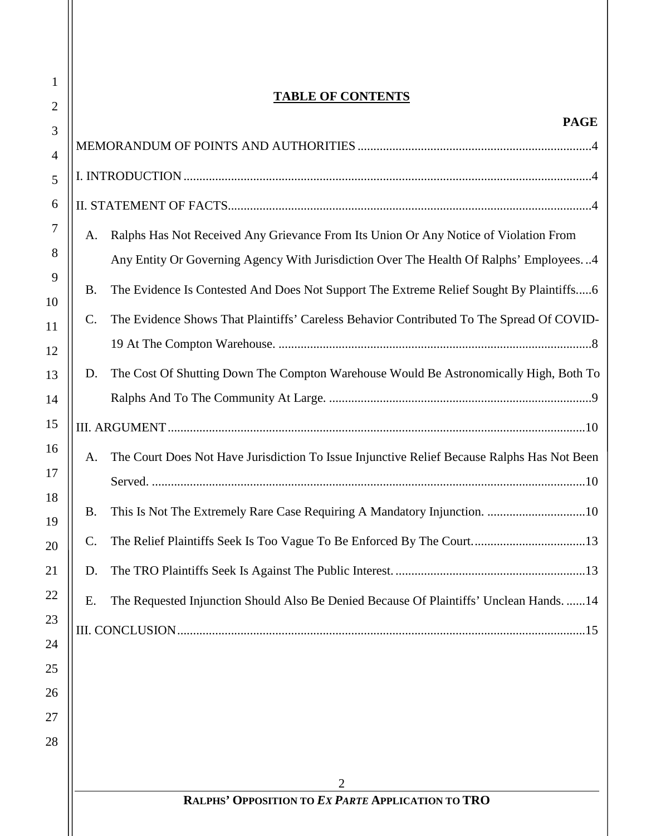### **TABLE OF CONTENTS**

1

2

ll

| 3              |                 | <b>PAGE</b>                                                                                 |  |  |  |
|----------------|-----------------|---------------------------------------------------------------------------------------------|--|--|--|
| $\overline{4}$ |                 |                                                                                             |  |  |  |
| 5              |                 |                                                                                             |  |  |  |
| 6              |                 |                                                                                             |  |  |  |
| 7              | А.              | Ralphs Has Not Received Any Grievance From Its Union Or Any Notice of Violation From        |  |  |  |
| 8              |                 | Any Entity Or Governing Agency With Jurisdiction Over The Health Of Ralphs' Employees4      |  |  |  |
| 9              | Β.              | The Evidence Is Contested And Does Not Support The Extreme Relief Sought By Plaintiffs6     |  |  |  |
| 10             |                 |                                                                                             |  |  |  |
| 11             | C.              | The Evidence Shows That Plaintiffs' Careless Behavior Contributed To The Spread Of COVID-   |  |  |  |
| 12             |                 |                                                                                             |  |  |  |
| 13             | D.              | The Cost Of Shutting Down The Compton Warehouse Would Be Astronomically High, Both To       |  |  |  |
| 14             |                 |                                                                                             |  |  |  |
| 15             |                 |                                                                                             |  |  |  |
| 16             | A.              | The Court Does Not Have Jurisdiction To Issue Injunctive Relief Because Ralphs Has Not Been |  |  |  |
| 17<br>18       |                 |                                                                                             |  |  |  |
| 19             | Β.              |                                                                                             |  |  |  |
| 20             | $\mathcal{C}$ . |                                                                                             |  |  |  |
| 21             | D.              |                                                                                             |  |  |  |
| 22             | Ε.              | The Requested Injunction Should Also Be Denied Because Of Plaintiffs' Unclean Hands.  14    |  |  |  |
| 23             |                 |                                                                                             |  |  |  |
| 24             |                 |                                                                                             |  |  |  |
| 25             |                 |                                                                                             |  |  |  |
| 26             |                 |                                                                                             |  |  |  |
| 27<br>28       |                 |                                                                                             |  |  |  |
|                |                 |                                                                                             |  |  |  |
|                |                 | 2                                                                                           |  |  |  |
|                |                 | RALPHS' OPPOSITION TO EX PARTE APPLICATION TO TRO                                           |  |  |  |
|                |                 |                                                                                             |  |  |  |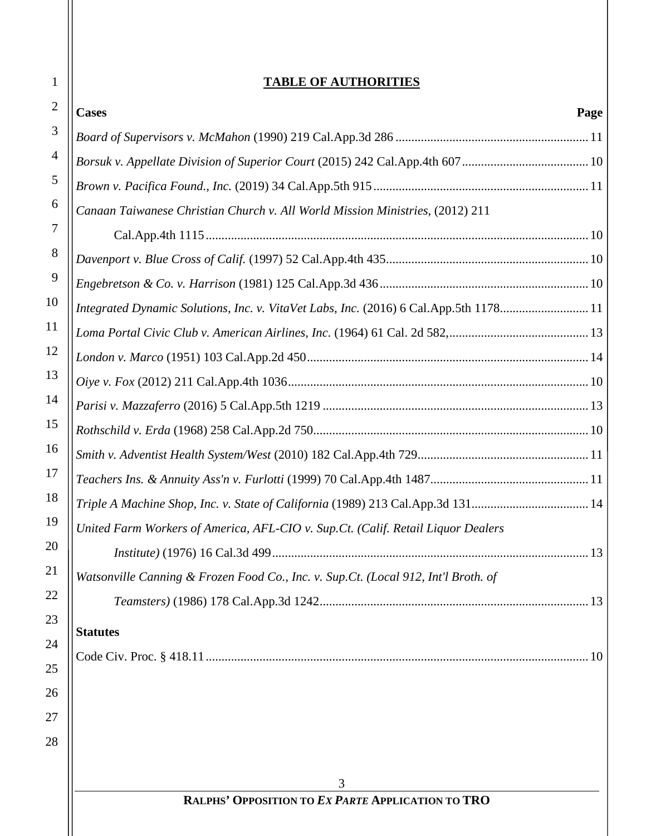### **TABLE OF AUTHORITIES**

| <b>IABLE OF AUTHORITIES</b>                                                          |      |
|--------------------------------------------------------------------------------------|------|
| <b>Cases</b>                                                                         | Page |
|                                                                                      |      |
|                                                                                      |      |
|                                                                                      |      |
| Canaan Taiwanese Christian Church v. All World Mission Ministries, (2012) 211        |      |
|                                                                                      |      |
|                                                                                      |      |
|                                                                                      |      |
| Integrated Dynamic Solutions, Inc. v. VitaVet Labs, Inc. (2016) 6 Cal.App.5th 117811 |      |
|                                                                                      |      |
|                                                                                      |      |
|                                                                                      |      |
|                                                                                      |      |
|                                                                                      |      |
|                                                                                      |      |
|                                                                                      |      |
|                                                                                      |      |
| United Farm Workers of America, AFL-CIO v. Sup.Ct. (Calif. Retail Liquor Dealers     |      |
| <i>Institute</i> ) (1976) 16 Cal.3d 499                                              | 13   |
| Watsonville Canning & Frozen Food Co., Inc. v. Sup.Ct. (Local 912, Int'l Broth. of   |      |
|                                                                                      |      |
| <b>Statutes</b>                                                                      |      |
|                                                                                      | .10  |
|                                                                                      |      |
|                                                                                      |      |
|                                                                                      |      |
|                                                                                      |      |
|                                                                                      |      |
| 3<br>RALPHS' OPPOSITION TO EX PARTE APPLICATION TO TRO                               |      |
|                                                                                      |      |
|                                                                                      |      |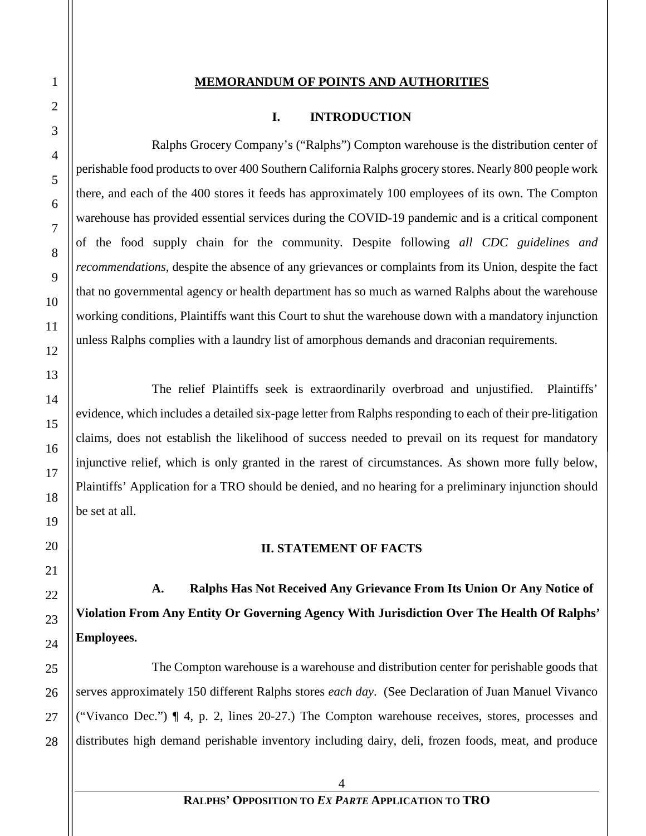#### **MEMORANDUM OF POINTS AND AUTHORITIES**

#### **I. INTRODUCTION**

<span id="page-3-1"></span><span id="page-3-0"></span>Ralphs Grocery Company's ("Ralphs") Compton warehouse is the distribution center of perishable food products to over 400 Southern California Ralphs grocery stores. Nearly 800 people work there, and each of the 400 stores it feeds has approximately 100 employees of its own. The Compton warehouse has provided essential services during the COVID-19 pandemic and is a critical component of the food supply chain for the community. Despite following *all CDC guidelines and recommendations*, despite the absence of any grievances or complaints from its Union, despite the fact that no governmental agency or health department has so much as warned Ralphs about the warehouse working conditions, Plaintiffs want this Court to shut the warehouse down with a mandatory injunction unless Ralphs complies with a laundry list of amorphous demands and draconian requirements.

The relief Plaintiffs seek is extraordinarily overbroad and unjustified. Plaintiffs' evidence, which includes a detailed six-page letter from Ralphs responding to each of their pre-litigation claims, does not establish the likelihood of success needed to prevail on its request for mandatory injunctive relief, which is only granted in the rarest of circumstances. As shown more fully below, Plaintiffs' Application for a TRO should be denied, and no hearing for a preliminary injunction should be set at all.

**II. STATEMENT OF FACTS**

<span id="page-3-3"></span><span id="page-3-2"></span>**A. Ralphs Has Not Received Any Grievance From Its Union Or Any Notice of Violation From Any Entity Or Governing Agency With Jurisdiction Over The Health Of Ralphs' Employees.**

The Compton warehouse is a warehouse and distribution center for perishable goods that serves approximately 150 different Ralphs stores *each day*. (See Declaration of Juan Manuel Vivanco ("Vivanco Dec.") ¶ 4, p. 2, lines 20-27.) The Compton warehouse receives, stores, processes and distributes high demand perishable inventory including dairy, deli, frozen foods, meat, and produce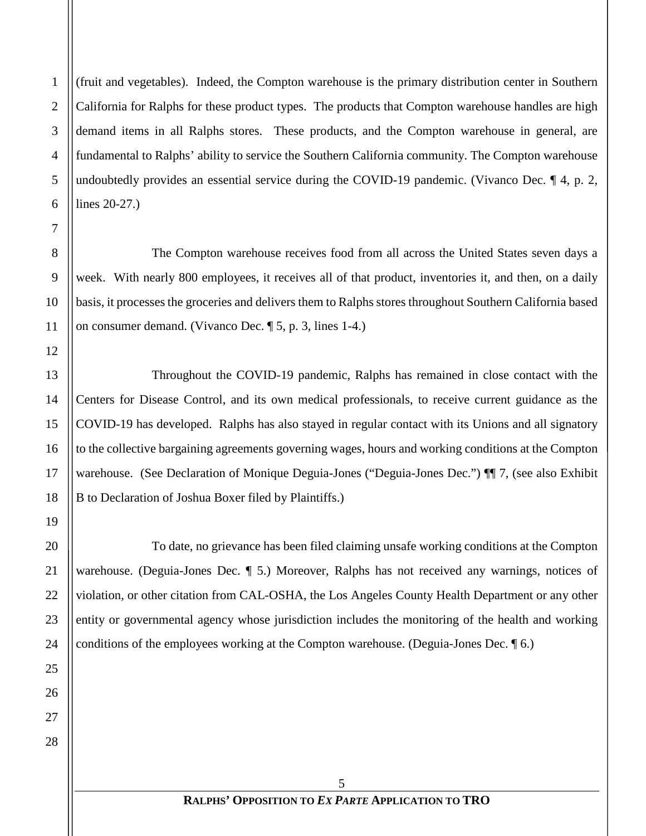(fruit and vegetables). Indeed, the Compton warehouse is the primary distribution center in Southern California for Ralphs for these product types. The products that Compton warehouse handles are high demand items in all Ralphs stores. These products, and the Compton warehouse in general, are fundamental to Ralphs' ability to service the Southern California community. The Compton warehouse undoubtedly provides an essential service during the COVID-19 pandemic. (Vivanco Dec. ¶ 4, p. 2, lines 20-27.)

The Compton warehouse receives food from all across the United States seven days a week. With nearly 800 employees, it receives all of that product, inventories it, and then, on a daily basis, it processes the groceries and delivers them to Ralphs stores throughout Southern California based on consumer demand. (Vivanco Dec. ¶ 5, p. 3, lines 1-4.)

Throughout the COVID-19 pandemic, Ralphs has remained in close contact with the Centers for Disease Control, and its own medical professionals, to receive current guidance as the COVID-19 has developed. Ralphs has also stayed in regular contact with its Unions and all signatory to the collective bargaining agreements governing wages, hours and working conditions at the Compton warehouse. (See Declaration of Monique Deguia-Jones ("Deguia-Jones Dec.") ¶¶ 7, (see also Exhibit B to Declaration of Joshua Boxer filed by Plaintiffs.)

To date, no grievance has been filed claiming unsafe working conditions at the Compton warehouse. (Deguia-Jones Dec. ¶ 5.) Moreover, Ralphs has not received any warnings, notices of violation, or other citation from CAL-OSHA, the Los Angeles County Health Department or any other entity or governmental agency whose jurisdiction includes the monitoring of the health and working conditions of the employees working at the Compton warehouse. (Deguia-Jones Dec. ¶ 6.)

1

2

3

4

5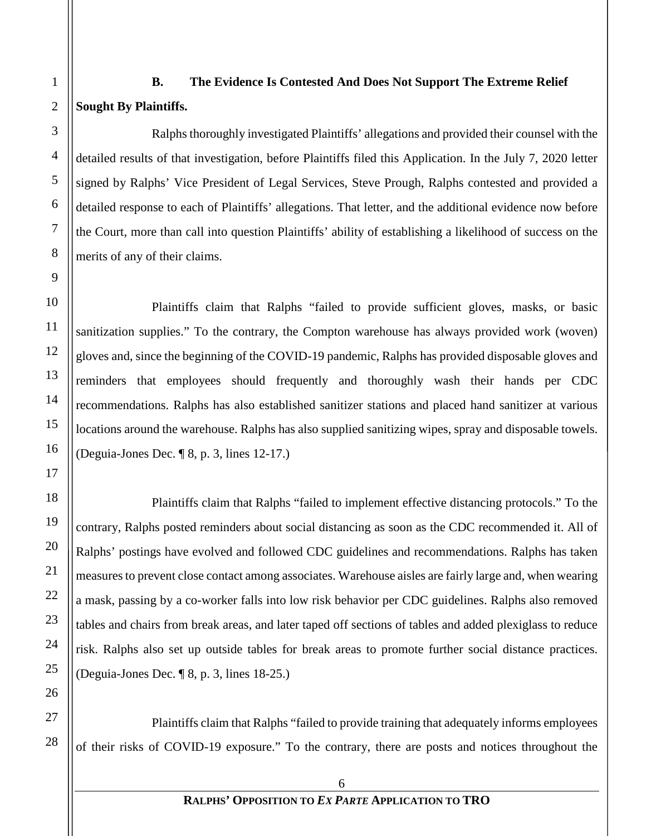# <span id="page-5-0"></span>**B. The Evidence Is Contested And Does Not Support The Extreme Relief Sought By Plaintiffs.**

Ralphs thoroughly investigated Plaintiffs' allegations and provided their counsel with the detailed results of that investigation, before Plaintiffs filed this Application. In the July 7, 2020 letter signed by Ralphs' Vice President of Legal Services, Steve Prough, Ralphs contested and provided a detailed response to each of Plaintiffs' allegations. That letter, and the additional evidence now before the Court, more than call into question Plaintiffs' ability of establishing a likelihood of success on the merits of any of their claims.

Plaintiffs claim that Ralphs "failed to provide sufficient gloves, masks, or basic sanitization supplies." To the contrary, the Compton warehouse has always provided work (woven) gloves and, since the beginning of the COVID-19 pandemic, Ralphs has provided disposable gloves and reminders that employees should frequently and thoroughly wash their hands per CDC recommendations. Ralphs has also established sanitizer stations and placed hand sanitizer at various locations around the warehouse. Ralphs has also supplied sanitizing wipes, spray and disposable towels. (Deguia-Jones Dec. ¶ 8, p. 3, lines 12-17.)

Plaintiffs claim that Ralphs "failed to implement effective distancing protocols." To the contrary, Ralphs posted reminders about social distancing as soon as the CDC recommended it. All of Ralphs' postings have evolved and followed CDC guidelines and recommendations. Ralphs has taken measures to prevent close contact among associates. Warehouse aisles are fairly large and, when wearing a mask, passing by a co-worker falls into low risk behavior per CDC guidelines. Ralphs also removed tables and chairs from break areas, and later taped off sections of tables and added plexiglass to reduce risk. Ralphs also set up outside tables for break areas to promote further social distance practices. (Deguia-Jones Dec. ¶ 8, p. 3, lines 18-25.)

Plaintiffs claim that Ralphs "failed to provide training that adequately informs employees of their risks of COVID-19 exposure." To the contrary, there are posts and notices throughout the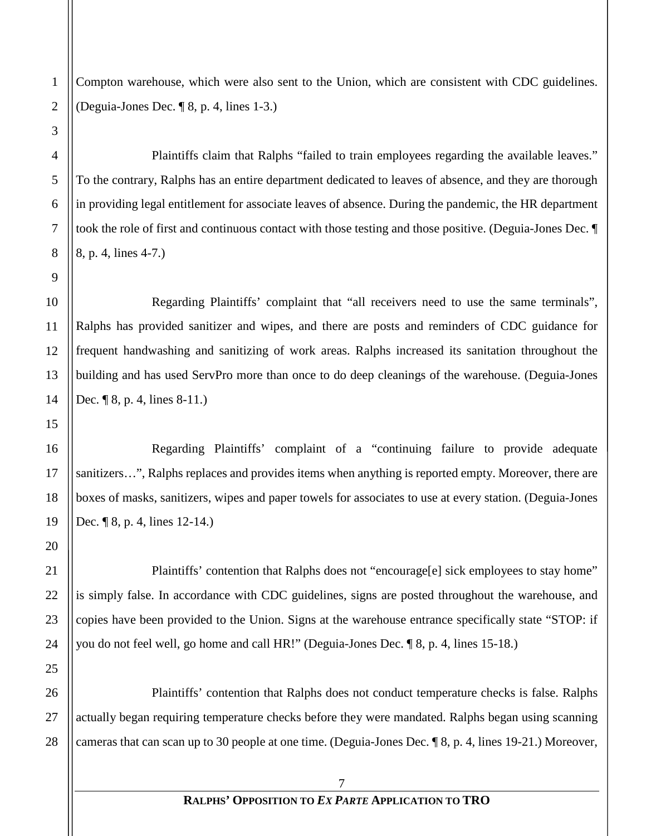Compton warehouse, which were also sent to the Union, which are consistent with CDC guidelines. (Deguia-Jones Dec. ¶ 8, p. 4, lines 1-3.)

Plaintiffs claim that Ralphs "failed to train employees regarding the available leaves." To the contrary, Ralphs has an entire department dedicated to leaves of absence, and they are thorough in providing legal entitlement for associate leaves of absence. During the pandemic, the HR department took the role of first and continuous contact with those testing and those positive. (Deguia-Jones Dec. ¶ 8, p. 4, lines 4-7.)

Regarding Plaintiffs' complaint that "all receivers need to use the same terminals", Ralphs has provided sanitizer and wipes, and there are posts and reminders of CDC guidance for frequent handwashing and sanitizing of work areas. Ralphs increased its sanitation throughout the building and has used ServPro more than once to do deep cleanings of the warehouse. (Deguia-Jones Dec. ¶ 8, p. 4, lines 8-11.)

Regarding Plaintiffs' complaint of a "continuing failure to provide adequate sanitizers…", Ralphs replaces and provides items when anything is reported empty. Moreover, there are boxes of masks, sanitizers, wipes and paper towels for associates to use at every station. (Deguia-Jones Dec. ¶ 8, p. 4, lines 12-14.)

Plaintiffs' contention that Ralphs does not "encourage[e] sick employees to stay home" is simply false. In accordance with CDC guidelines, signs are posted throughout the warehouse, and copies have been provided to the Union. Signs at the warehouse entrance specifically state "STOP: if you do not feel well, go home and call HR!" (Deguia-Jones Dec. ¶ 8, p. 4, lines 15-18.)

Plaintiffs' contention that Ralphs does not conduct temperature checks is false. Ralphs actually began requiring temperature checks before they were mandated. Ralphs began using scanning cameras that can scan up to 30 people at one time. (Deguia-Jones Dec. ¶ 8, p. 4, lines 19-21.) Moreover,

1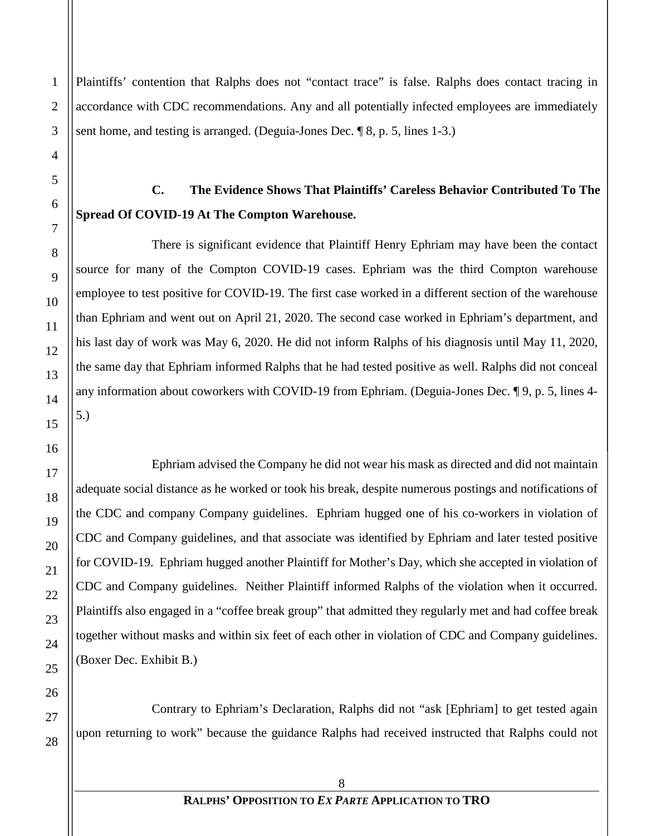Plaintiffs' contention that Ralphs does not "contact trace" is false. Ralphs does contact tracing in accordance with CDC recommendations. Any and all potentially infected employees are immediately sent home, and testing is arranged. (Deguia-Jones Dec. ¶ 8, p. 5, lines 1-3.)

## <span id="page-7-0"></span>**C. The Evidence Shows That Plaintiffs' Careless Behavior Contributed To The Spread Of COVID-19 At The Compton Warehouse.**

There is significant evidence that Plaintiff Henry Ephriam may have been the contact source for many of the Compton COVID-19 cases. Ephriam was the third Compton warehouse employee to test positive for COVID-19. The first case worked in a different section of the warehouse than Ephriam and went out on April 21, 2020. The second case worked in Ephriam's department, and his last day of work was May 6, 2020. He did not inform Ralphs of his diagnosis until May 11, 2020, the same day that Ephriam informed Ralphs that he had tested positive as well. Ralphs did not conceal any information about coworkers with COVID-19 from Ephriam. (Deguia-Jones Dec. ¶ 9, p. 5, lines 4- 5.)

Ephriam advised the Company he did not wear his mask as directed and did not maintain adequate social distance as he worked or took his break, despite numerous postings and notifications of the CDC and company Company guidelines. Ephriam hugged one of his co-workers in violation of CDC and Company guidelines, and that associate was identified by Ephriam and later tested positive for COVID-19. Ephriam hugged another Plaintiff for Mother's Day, which she accepted in violation of CDC and Company guidelines. Neither Plaintiff informed Ralphs of the violation when it occurred. Plaintiffs also engaged in a "coffee break group" that admitted they regularly met and had coffee break together without masks and within six feet of each other in violation of CDC and Company guidelines. (Boxer Dec. Exhibit B.)

Contrary to Ephriam's Declaration, Ralphs did not "ask [Ephriam] to get tested again upon returning to work" because the guidance Ralphs had received instructed that Ralphs could not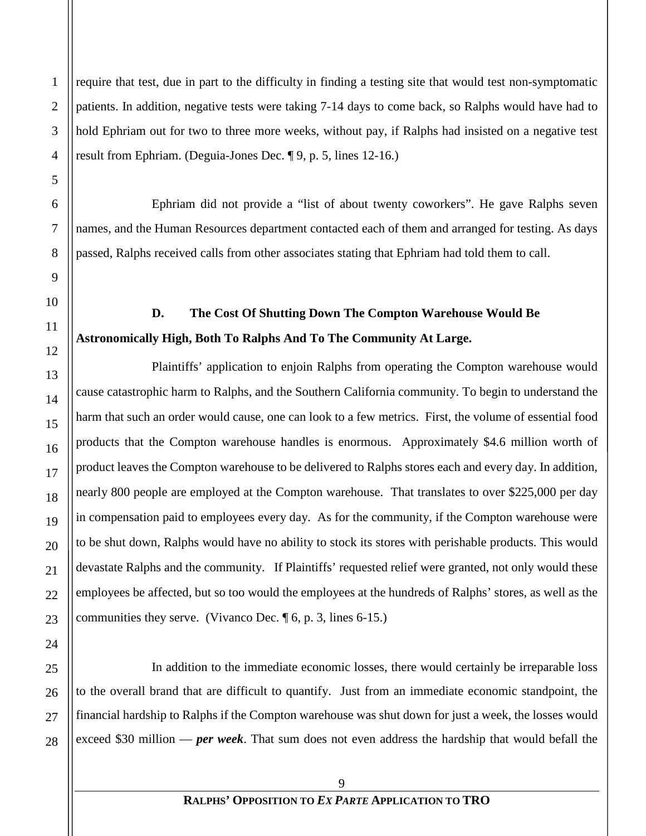require that test, due in part to the difficulty in finding a testing site that would test non-symptomatic patients. In addition, negative tests were taking 7-14 days to come back, so Ralphs would have had to hold Ephriam out for two to three more weeks, without pay, if Ralphs had insisted on a negative test result from Ephriam. (Deguia-Jones Dec. ¶ 9, p. 5, lines 12-16.)

Ephriam did not provide a "list of about twenty coworkers". He gave Ralphs seven names, and the Human Resources department contacted each of them and arranged for testing. As days passed, Ralphs received calls from other associates stating that Ephriam had told them to call.

# <span id="page-8-0"></span>**D. The Cost Of Shutting Down The Compton Warehouse Would Be Astronomically High, Both To Ralphs And To The Community At Large.**

Plaintiffs' application to enjoin Ralphs from operating the Compton warehouse would cause catastrophic harm to Ralphs, and the Southern California community. To begin to understand the harm that such an order would cause, one can look to a few metrics. First, the volume of essential food products that the Compton warehouse handles is enormous. Approximately \$4.6 million worth of product leaves the Compton warehouse to be delivered to Ralphs stores each and every day. In addition, nearly 800 people are employed at the Compton warehouse. That translates to over \$225,000 per day in compensation paid to employees every day. As for the community, if the Compton warehouse were to be shut down, Ralphs would have no ability to stock its stores with perishable products. This would devastate Ralphs and the community. If Plaintiffs' requested relief were granted, not only would these employees be affected, but so too would the employees at the hundreds of Ralphs' stores, as well as the communities they serve. (Vivanco Dec. ¶ 6, p. 3, lines 6-15.)

In addition to the immediate economic losses, there would certainly be irreparable loss to the overall brand that are difficult to quantify. Just from an immediate economic standpoint, the financial hardship to Ralphs if the Compton warehouse was shut down for just a week, the losses would exceed \$30 million — *per week*. That sum does not even address the hardship that would befall the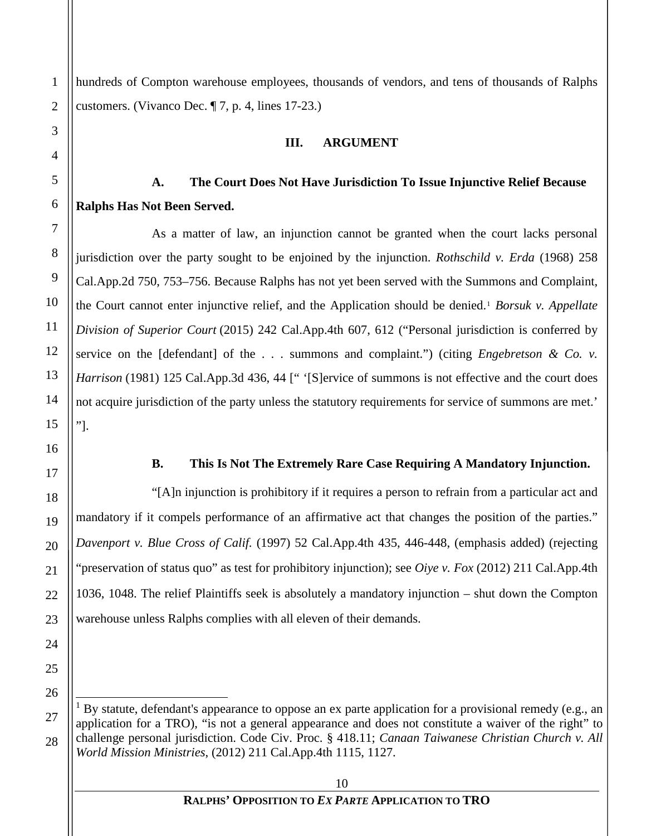<span id="page-9-0"></span>hundreds of Compton warehouse employees, thousands of vendors, and tens of thousands of Ralphs customers. (Vivanco Dec. ¶ 7, p. 4, lines 17-23.)

#### **III. ARGUMENT**

## <span id="page-9-1"></span>**A. The Court Does Not Have Jurisdiction To Issue Injunctive Relief Because Ralphs Has Not Been Served.**

As a matter of law, an injunction cannot be granted when the court lacks personal jurisdiction over the party sought to be enjoined by the injunction. *Rothschild v. Erda* (1968) 258 Cal.App.2d 750, 753–756. Because Ralphs has not yet been served with the Summons and Complaint, the Court cannot enter injunctive relief, and the Application should be denied.[1](#page-9-3) *Borsuk v. Appellate Division of Superior Court* (2015) 242 Cal.App.4th 607, 612 ("Personal jurisdiction is conferred by service on the [defendant] of the . . . summons and complaint.") (citing *Engebretson & Co. v. Harrison* (1981) 125 Cal.App.3d 436, 44 [" '[S]ervice of summons is not effective and the court does not acquire jurisdiction of the party unless the statutory requirements for service of summons are met.' "].

#### **B. This Is Not The Extremely Rare Case Requiring A Mandatory Injunction.**

<span id="page-9-2"></span>"[A]n injunction is prohibitory if it requires a person to refrain from a particular act and mandatory if it compels performance of an affirmative act that changes the position of the parties." *Davenport v. Blue Cross of Calif.* (1997) 52 Cal.App.4th 435, 446-448, (emphasis added) (rejecting "preservation of status quo" as test for prohibitory injunction); see *Oiye v. Fox* (2012) 211 Cal.App.4th 1036, 1048. The relief Plaintiffs seek is absolutely a mandatory injunction – shut down the Compton warehouse unless Ralphs complies with all eleven of their demands.

<span id="page-9-3"></span><sup>1</sup> By statute, defendant's appearance to oppose an ex parte application for a provisional remedy (e.g., an application for a TRO), "is not a general appearance and does not constitute a waiver of the right" to challenge personal jurisdiction. Code Civ. Proc. § 418.11; *Canaan Taiwanese Christian Church v. All World Mission Ministries*, (2012) 211 Cal.App.4th 1115, 1127.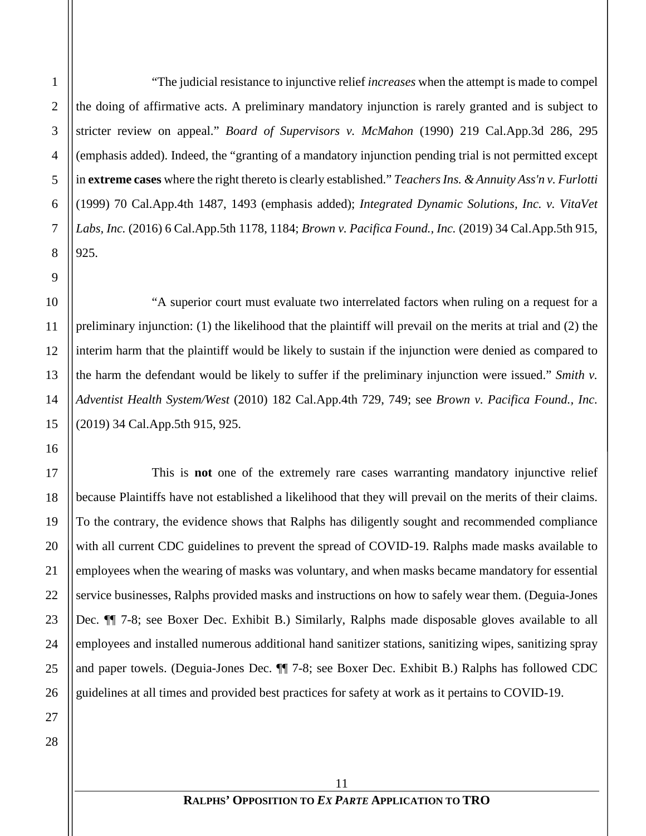"The judicial resistance to injunctive relief *increases* when the attempt is made to compel the doing of affirmative acts. A preliminary mandatory injunction is rarely granted and is subject to stricter review on appeal." *Board of Supervisors v. McMahon* (1990) 219 Cal.App.3d 286, 295 (emphasis added). Indeed, the "granting of a mandatory injunction pending trial is not permitted except in **extreme cases** where the right thereto is clearly established." *Teachers Ins. & Annuity Ass'n v. Furlotti* (1999) 70 Cal.App.4th 1487, 1493 (emphasis added); *Integrated Dynamic Solutions, Inc. v. VitaVet Labs, Inc.* (2016) 6 Cal.App.5th 1178, 1184; *Brown v. Pacifica Found., Inc.* (2019) 34 Cal.App.5th 915, 925.

"A superior court must evaluate two interrelated factors when ruling on a request for a preliminary injunction: (1) the likelihood that the plaintiff will prevail on the merits at trial and (2) the interim harm that the plaintiff would be likely to sustain if the injunction were denied as compared to the harm the defendant would be likely to suffer if the preliminary injunction were issued." *Smith v. Adventist Health System/West* (2010) 182 Cal.App.4th 729, 749; see *Brown v. Pacifica Found., Inc.* (2019) 34 Cal.App.5th 915, 925.

This is **not** one of the extremely rare cases warranting mandatory injunctive relief because Plaintiffs have not established a likelihood that they will prevail on the merits of their claims. To the contrary, the evidence shows that Ralphs has diligently sought and recommended compliance with all current CDC guidelines to prevent the spread of COVID-19. Ralphs made masks available to employees when the wearing of masks was voluntary, and when masks became mandatory for essential service businesses, Ralphs provided masks and instructions on how to safely wear them. (Deguia-Jones Dec. ¶¶ 7-8; see Boxer Dec. Exhibit B.) Similarly, Ralphs made disposable gloves available to all employees and installed numerous additional hand sanitizer stations, sanitizing wipes, sanitizing spray and paper towels. (Deguia-Jones Dec. ¶¶ 7-8; see Boxer Dec. Exhibit B.) Ralphs has followed CDC guidelines at all times and provided best practices for safety at work as it pertains to COVID-19.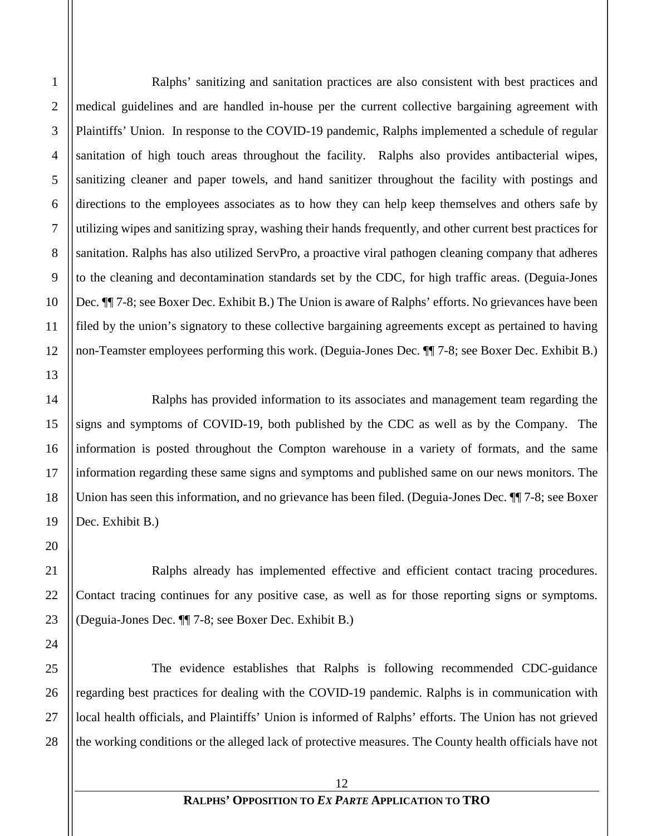Ralphs' sanitizing and sanitation practices are also consistent with best practices and medical guidelines and are handled in-house per the current collective bargaining agreement with Plaintiffs' Union. In response to the COVID-19 pandemic, Ralphs implemented a schedule of regular sanitation of high touch areas throughout the facility. Ralphs also provides antibacterial wipes, sanitizing cleaner and paper towels, and hand sanitizer throughout the facility with postings and directions to the employees associates as to how they can help keep themselves and others safe by utilizing wipes and sanitizing spray, washing their hands frequently, and other current best practices for sanitation. Ralphs has also utilized ServPro, a proactive viral pathogen cleaning company that adheres to the cleaning and decontamination standards set by the CDC, for high traffic areas. (Deguia-Jones Dec. ¶¶ 7-8; see Boxer Dec. Exhibit B.) The Union is aware of Ralphs' efforts. No grievances have been filed by the union's signatory to these collective bargaining agreements except as pertained to having non-Teamster employees performing this work. (Deguia-Jones Dec. ¶¶ 7-8; see Boxer Dec. Exhibit B.)

Ralphs has provided information to its associates and management team regarding the signs and symptoms of COVID-19, both published by the CDC as well as by the Company. The information is posted throughout the Compton warehouse in a variety of formats, and the same information regarding these same signs and symptoms and published same on our news monitors. The Union has seen this information, and no grievance has been filed. (Deguia-Jones Dec.  $\P$  7-8; see Boxer Dec. Exhibit B.)

Ralphs already has implemented effective and efficient contact tracing procedures. Contact tracing continues for any positive case, as well as for those reporting signs or symptoms. (Deguia-Jones Dec. ¶¶ 7-8; see Boxer Dec. Exhibit B.)

The evidence establishes that Ralphs is following recommended CDC-guidance regarding best practices for dealing with the COVID-19 pandemic. Ralphs is in communication with local health officials, and Plaintiffs' Union is informed of Ralphs' efforts. The Union has not grieved the working conditions or the alleged lack of protective measures. The County health officials have not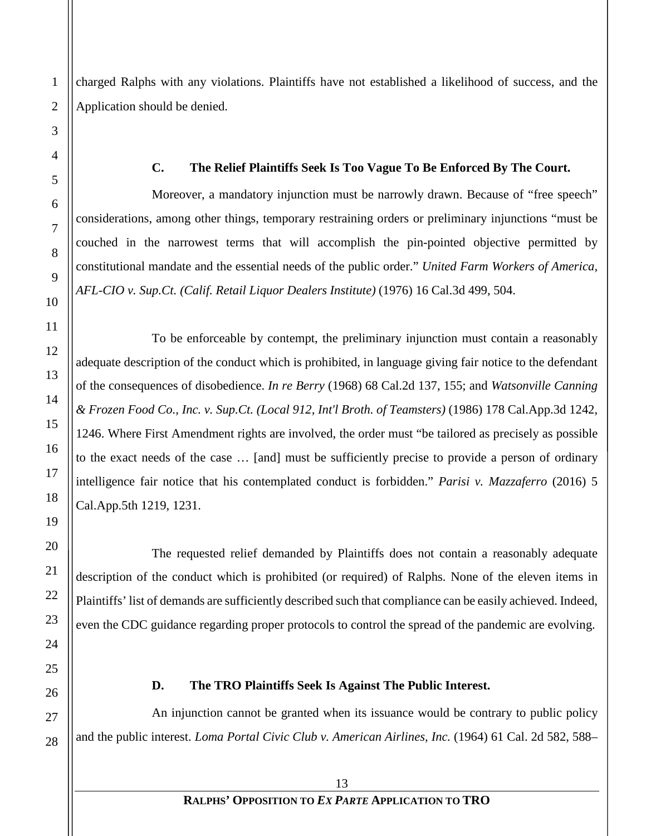charged Ralphs with any violations. Plaintiffs have not established a likelihood of success, and the Application should be denied.

#### <span id="page-12-0"></span>**C. The Relief Plaintiffs Seek Is Too Vague To Be Enforced By The Court.**

Moreover, a mandatory injunction must be narrowly drawn. Because of "free speech" considerations, among other things, temporary restraining orders or preliminary injunctions "must be couched in the narrowest terms that will accomplish the pin-pointed objective permitted by constitutional mandate and the essential needs of the public order." *United Farm Workers of America, AFL-CIO v. Sup.Ct. (Calif. Retail Liquor Dealers Institute)* (1976) 16 Cal.3d 499, 504.

To be enforceable by contempt, the preliminary injunction must contain a reasonably adequate description of the conduct which is prohibited, in language giving fair notice to the defendant of the consequences of disobedience. *In re Berry* (1968) 68 Cal.2d 137, 155; and *Watsonville Canning & Frozen Food Co., Inc. v. Sup.Ct. (Local 912, Int'l Broth. of Teamsters)* (1986) 178 Cal.App.3d 1242, 1246. Where First Amendment rights are involved, the order must "be tailored as precisely as possible to the exact needs of the case … [and] must be sufficiently precise to provide a person of ordinary intelligence fair notice that his contemplated conduct is forbidden." *Parisi v. Mazzaferro* (2016) 5 Cal.App.5th 1219, 1231.

The requested relief demanded by Plaintiffs does not contain a reasonably adequate description of the conduct which is prohibited (or required) of Ralphs. None of the eleven items in Plaintiffs' list of demands are sufficiently described such that compliance can be easily achieved. Indeed, even the CDC guidance regarding proper protocols to control the spread of the pandemic are evolving.

#### <span id="page-12-1"></span>**D. The TRO Plaintiffs Seek Is Against The Public Interest.**

An injunction cannot be granted when its issuance would be contrary to public policy and the public interest. *Loma Portal Civic Club v. American Airlines, Inc.* (1964) 61 Cal. 2d 582, 588–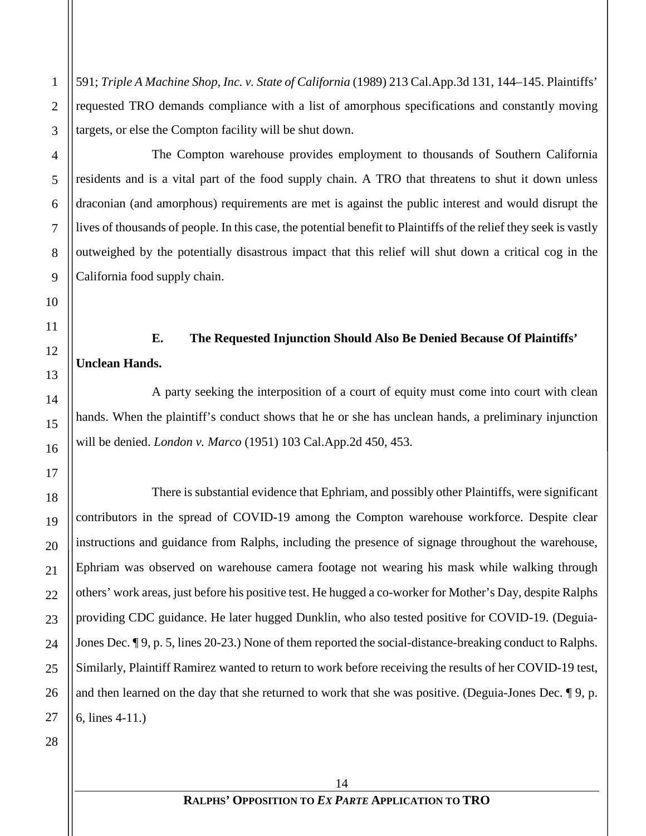591; *Triple A Machine Shop, Inc. v. State of California* (1989) 213 Cal.App.3d 131, 144–145. Plaintiffs' requested TRO demands compliance with a list of amorphous specifications and constantly moving targets, or else the Compton facility will be shut down.

The Compton warehouse provides employment to thousands of Southern California residents and is a vital part of the food supply chain. A TRO that threatens to shut it down unless draconian (and amorphous) requirements are met is against the public interest and would disrupt the lives of thousands of people. In this case, the potential benefit to Plaintiffs of the relief they seek is vastly outweighed by the potentially disastrous impact that this relief will shut down a critical cog in the California food supply chain.

## <span id="page-13-0"></span>**E. The Requested Injunction Should Also Be Denied Because Of Plaintiffs' Unclean Hands.**

A party seeking the interposition of a court of equity must come into court with clean hands. When the plaintiff's conduct shows that he or she has unclean hands, a preliminary injunction will be denied. *London v. Marco* (1951) 103 Cal.App.2d 450, 453.

There is substantial evidence that Ephriam, and possibly other Plaintiffs, were significant contributors in the spread of COVID-19 among the Compton warehouse workforce. Despite clear instructions and guidance from Ralphs, including the presence of signage throughout the warehouse, Ephriam was observed on warehouse camera footage not wearing his mask while walking through others' work areas, just before his positive test. He hugged a co-worker for Mother's Day, despite Ralphs providing CDC guidance. He later hugged Dunklin, who also tested positive for COVID-19. (Deguia-Jones Dec. ¶ 9, p. 5, lines 20-23.) None of them reported the social-distance-breaking conduct to Ralphs. Similarly, Plaintiff Ramirez wanted to return to work before receiving the results of her COVID-19 test, and then learned on the day that she returned to work that she was positive. (Deguia-Jones Dec. ¶ 9, p. 6, lines 4-11.)

1

2

3

4

5

6

7

8

9

10

11

12

13

14

15

16

17

18

19

20

21

22

23

24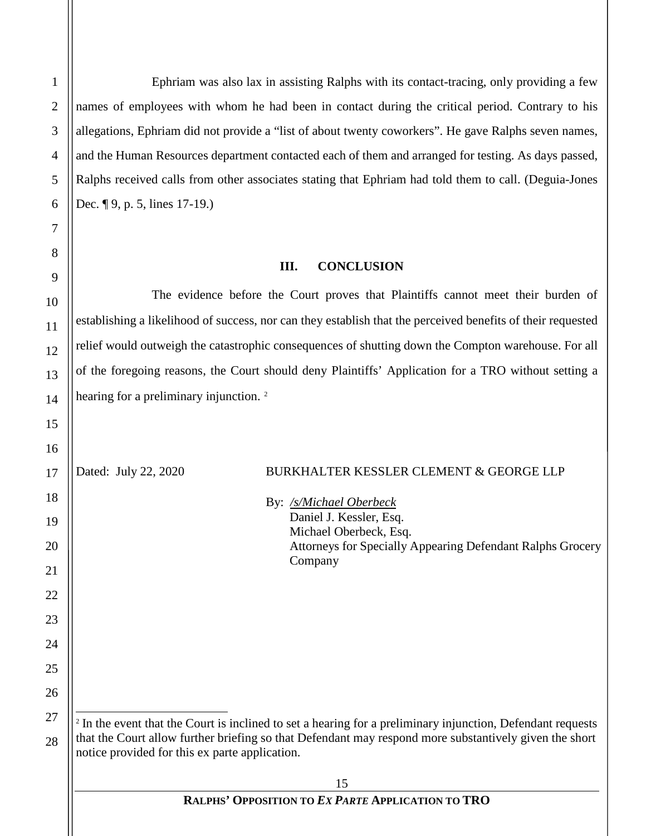j

Ephriam was also lax in assisting Ralphs with its contact-tracing, only providing a few names of employees with whom he had been in contact during the critical period. Contrary to his allegations, Ephriam did not provide a "list of about twenty coworkers". He gave Ralphs seven names, and the Human Resources department contacted each of them and arranged for testing. As days passed, Ralphs received calls from other associates stating that Ephriam had told them to call. (Deguia-Jones Dec. ¶ 9, p. 5, lines 17-19.)

#### **III. CONCLUSION**

<span id="page-14-0"></span>The evidence before the Court proves that Plaintiffs cannot meet their burden of establishing a likelihood of success, nor can they establish that the perceived benefits of their requested relief would outweigh the catastrophic consequences of shutting down the Compton warehouse. For all of the foregoing reasons, the Court should deny Plaintiffs' Application for a TRO without setting a hearing for a preliminary injunction.<sup>[2](#page-14-1)</sup>

Dated: July 22, 2020 BURKHALTER KESSLER CLEMENT & GEORGE LLP

By: */s/Michael Oberbeck* Daniel J. Kessler, Esq. Michael Oberbeck, Esq. Attorneys for Specially Appearing Defendant Ralphs Grocery Company

<span id="page-14-1"></span><sup>2</sup> In the event that the Court is inclined to set a hearing for a preliminary injunction, Defendant requests that the Court allow further briefing so that Defendant may respond more substantively given the short notice provided for this ex parte application.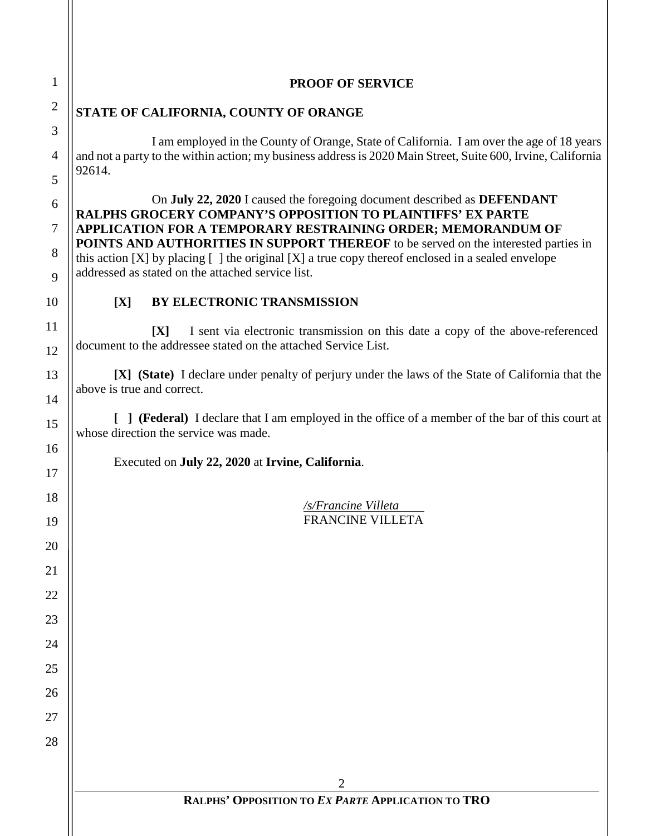|               | <b>PROOF OF SERVICE</b>                                                                                                                                                                                                                                                                                                                                                                                                                                                                                                                                                                                                                                                                                                                                                                                                                                                                                                                                                                                                                                                                                                                                                                                                                                                               |
|---------------|---------------------------------------------------------------------------------------------------------------------------------------------------------------------------------------------------------------------------------------------------------------------------------------------------------------------------------------------------------------------------------------------------------------------------------------------------------------------------------------------------------------------------------------------------------------------------------------------------------------------------------------------------------------------------------------------------------------------------------------------------------------------------------------------------------------------------------------------------------------------------------------------------------------------------------------------------------------------------------------------------------------------------------------------------------------------------------------------------------------------------------------------------------------------------------------------------------------------------------------------------------------------------------------|
|               | STATE OF CALIFORNIA, COUNTY OF ORANGE                                                                                                                                                                                                                                                                                                                                                                                                                                                                                                                                                                                                                                                                                                                                                                                                                                                                                                                                                                                                                                                                                                                                                                                                                                                 |
| 92614.<br>[X] | I am employed in the County of Orange, State of California. I am over the age of 18 years<br>and not a party to the within action; my business address is 2020 Main Street, Suite 600, Irvine, California<br>On July 22, 2020 I caused the foregoing document described as DEFENDANT<br><b>RALPHS GROCERY COMPANY'S OPPOSITION TO PLAINTIFFS' EX PARTE</b><br>APPLICATION FOR A TEMPORARY RESTRAINING ORDER; MEMORANDUM OF<br><b>POINTS AND AUTHORITIES IN SUPPORT THEREOF</b> to be served on the interested parties in<br>this action [X] by placing $\lceil \cdot \rceil$ the original [X] a true copy thereof enclosed in a sealed envelope<br>addressed as stated on the attached service list.<br>BY ELECTRONIC TRANSMISSION<br>I sent via electronic transmission on this date a copy of the above-referenced<br>[X]<br>document to the addressee stated on the attached Service List.<br>[X] (State) I declare under penalty of perjury under the laws of the State of California that the<br>above is true and correct.<br>[ ] ( <b>Federal</b> ) I declare that I am employed in the office of a member of the bar of this court at<br>whose direction the service was made.<br>Executed on July 22, 2020 at Irvine, California.<br>/s/Francine Villeta<br>FRANCINE VILLETA |
|               |                                                                                                                                                                                                                                                                                                                                                                                                                                                                                                                                                                                                                                                                                                                                                                                                                                                                                                                                                                                                                                                                                                                                                                                                                                                                                       |
|               |                                                                                                                                                                                                                                                                                                                                                                                                                                                                                                                                                                                                                                                                                                                                                                                                                                                                                                                                                                                                                                                                                                                                                                                                                                                                                       |
|               |                                                                                                                                                                                                                                                                                                                                                                                                                                                                                                                                                                                                                                                                                                                                                                                                                                                                                                                                                                                                                                                                                                                                                                                                                                                                                       |
|               |                                                                                                                                                                                                                                                                                                                                                                                                                                                                                                                                                                                                                                                                                                                                                                                                                                                                                                                                                                                                                                                                                                                                                                                                                                                                                       |
|               |                                                                                                                                                                                                                                                                                                                                                                                                                                                                                                                                                                                                                                                                                                                                                                                                                                                                                                                                                                                                                                                                                                                                                                                                                                                                                       |
|               | 2<br>RALPHS' OPPOSITION TO EX PARTE APPLICATION TO TRO                                                                                                                                                                                                                                                                                                                                                                                                                                                                                                                                                                                                                                                                                                                                                                                                                                                                                                                                                                                                                                                                                                                                                                                                                                |